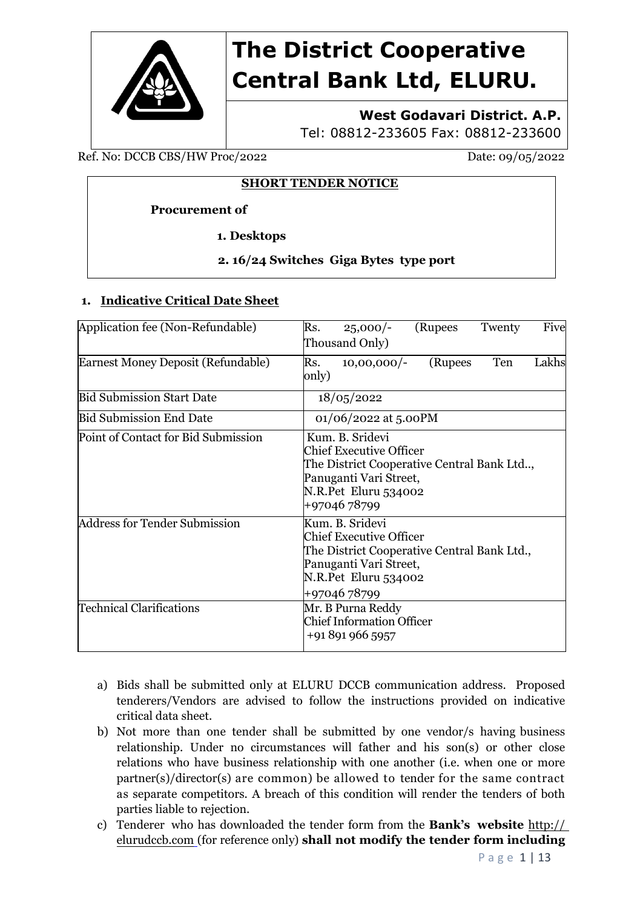

# **The District Cooperative Central Bank Ltd, ELURU.**

# **West Godavari District. A.P.**

Tel: 08812-233605 Fax: 08812-233600

Ref. No: DCCB CBS/HW Proc/2022 Date: 09/05/2022

## **SHORT TENDER NOTICE**

## **Procurement of**

 **1. Desktops** 

# **2. 16/24 Switches Giga Bytes type port**

# **1. Indicative Critical Date Sheet**

| Application fee (Non-Refundable)     | Five<br>(Rupees<br>Rs.<br>Twenty<br>$25,000/-$<br>Thousand Only)                                                                                                  |
|--------------------------------------|-------------------------------------------------------------------------------------------------------------------------------------------------------------------|
| Earnest Money Deposit (Refundable)   | Lakhs<br>Ten<br>Rs.<br>(Rupees<br>$10,00,000/-$<br>only)                                                                                                          |
| <b>Bid Submission Start Date</b>     | 18/05/2022                                                                                                                                                        |
| <b>Bid Submission End Date</b>       | 01/06/2022 at 5.00PM                                                                                                                                              |
| Point of Contact for Bid Submission  | Kum. B. Sridevi<br><b>Chief Executive Officer</b><br>The District Cooperative Central Bank Ltd,<br>Panuganti Vari Street,<br>N.R.Pet Eluru 534002<br>+9704678799  |
| <b>Address for Tender Submission</b> | Kum. B. Sridevi<br><b>Chief Executive Officer</b><br>The District Cooperative Central Bank Ltd.,<br>Panuganti Vari Street,<br>N.R.Pet Eluru 534002<br>+9704678799 |
| <b>Technical Clarifications</b>      | Mr. B Purna Reddy<br><b>Chief Information Officer</b><br>+91 891 966 5957                                                                                         |

- a) Bids shall be submitted only at ELURU DCCB communication address. Proposed tenderers/Vendors are advised to follow the instructions provided on indicative critical data sheet.
- b) Not more than one tender shall be submitted by one vendor/s having business relationship. Under no circumstances will father and his son(s) or other close relations who have business relationship with one another (i.e. when one or more partner(s)/director(s) are common) be allowed to tender for the same contract as separate competitors. A breach of this condition will render the tenders of both parties liable to rejection.
- c) Tenderer who has downloaded the tender form from the **Bank's website** http:// elurudccb.com (for reference only) **shall not modify the tender form including**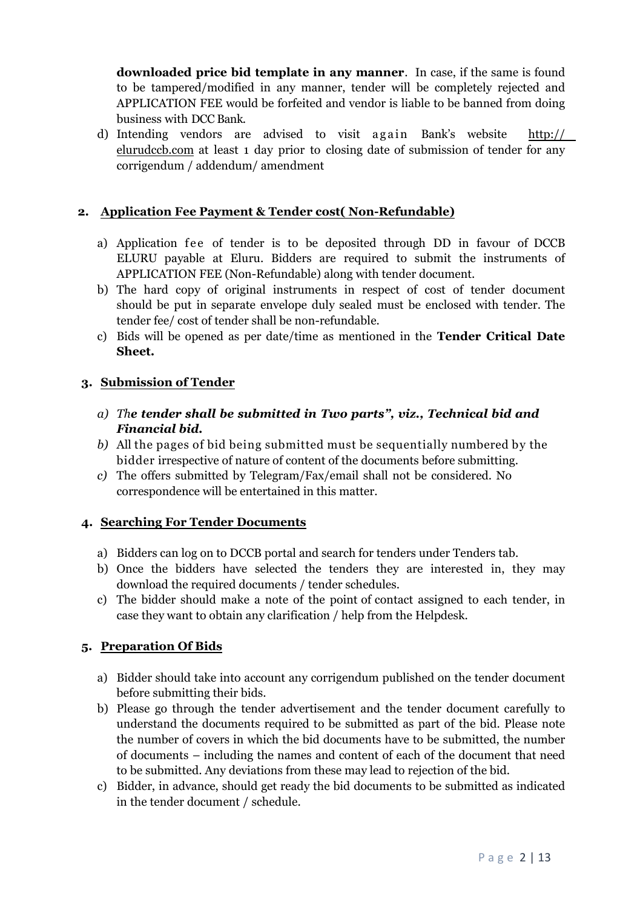**downloaded price bid template in any manner**. In case, if the same is found to be tampered/modified in any manner, tender will be completely rejected and APPLICATION FEE would be forfeited and vendor is liable to be banned from doing business with DCC Bank.

d) Intending vendors are advised to visit again Bank's website  $http://$ elurudccb.com at least 1 day prior to closing date of submission of tender for any corrigendum / addendum/ amendment

# **2. Application Fee Payment & Tender cost(Non-Refundable)**

- a) Application fee of tender is to be deposited through DD in favour of DCCB ELURU payable at Eluru. Bidders are required to submit the instruments of APPLICATION FEE (Non-Refundable) along with tender document.
- b) The hard copy of original instruments in respect of cost of tender document should be put in separate envelope duly sealed must be enclosed with tender. The tender fee/ cost of tender shall be non-refundable.
- c) Bids will be opened as per date/time as mentioned in the **Tender Critical Date Sheet.**

# **3. Submission of Tender**

- *a) The tender shall be submitted in Two parts", viz., Technical bid and Financial bid.*
- *b)* All the pages of bid being submitted must be sequentially numbered by the bidder irrespective of nature of content of the documents before submitting.
- *c)* The offers submitted by Telegram/Fax/email shall not be considered. No correspondence will be entertained in this matter.

# **4. Searching For Tender Documents**

- a) Bidders can log on to DCCB portal and search for tenders under Tenders tab.
- b) Once the bidders have selected the tenders they are interested in, they may download the required documents / tender schedules.
- c) The bidder should make a note of the point of contact assigned to each tender, in case they want to obtain any clarification / help from the Helpdesk.

# **5. Preparation Of Bids**

- a) Bidder should take into accountany corrigendum published on the tender document before submitting their bids.
- b) Please go through the tender advertisement and the tender document carefully to understand the documents required to be submitted as part of the bid. Please note the number of covers in which the bid documents have to be submitted, the number of documents – including the names and content of each of the document that need to be submitted. Any deviations from these may lead to rejection of the bid.
- c) Bidder, in advance, should get ready the bid documents to be submitted as indicated in the tender document / schedule.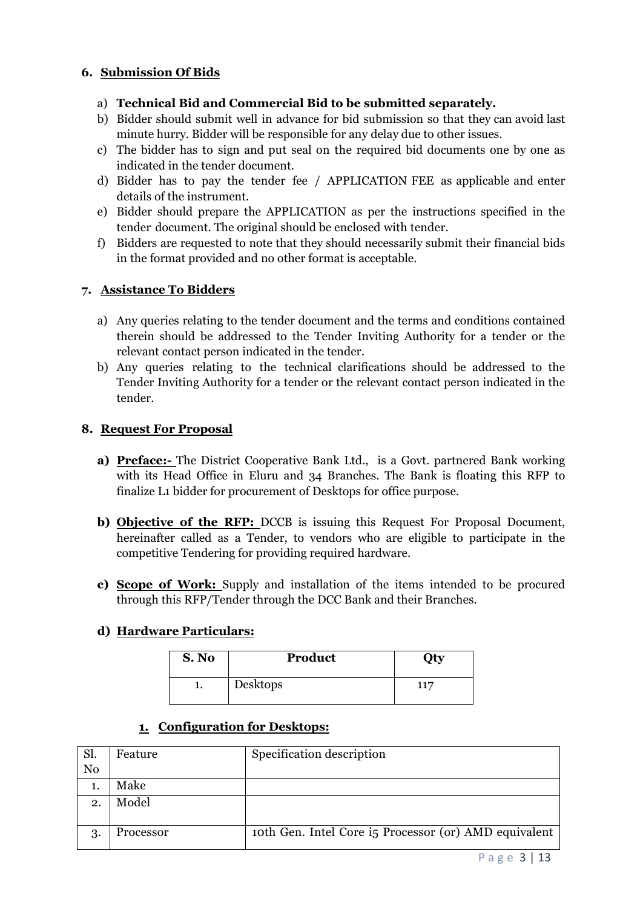# **6. Submission Of Bids**

- a) **Technical Bid and Commercial Bid to be submitted separately.**
- b) Bidder should submit well in advance for bid submission so that they can avoid last minute hurry. Bidder will be responsible for any delay due to other issues.
- c) The bidder has to sign and put seal on the required bid documents one by one as indicated in the tender document.
- d) Bidder has to pay the tender fee / APPLICATION FEE as applicable and enter details of the instrument.
- e) Bidder should prepare the APPLICATION as per the instructions specified in the
- tender document. The original should be enclosed with tender.<br>f) Bidders are requested to note that they should necessarily submit their financial bids in the format provided and no other format is acceptable.

#### **7. Assistance To Bidders**

- a) Any queries relating to the tender document and the terms and conditions contained therein should be addressed to the Tender Inviting Authority for a tender or the relevant contact person indicated in the tender.
- b) Any queries relating to the technical clarifications should be addressed to the Tender Inviting Authority for a tender or the relevant contact person indicated in the tender.

#### **8. Request For Proposal**

- **a) Preface:-** The District Cooperative Bank Ltd., is a Govt. partnered Bank working with its Head Office in Eluru and 34 Branches. The Bank is floating this RFP to finalize L1 bidder for procurement of Desktops for office purpose.
- **b) Objective of the RFP:** DCCB is issuing this Request For Proposal Document, hereinafter called as a Tender, to vendors who are eligible to participate in the competitive Tendering for providing required hardware.
- **c) Scope of Work:** Supply and installation of the items intended to be procured through this RFP/Tender through the DCC Bank and their Branches.

#### **d) Hardware Particulars:**

| S. No | Product  | <b>Oty</b> |
|-------|----------|------------|
| ı.    | Desktops | 117        |

#### **1. Configuration for Desktops:**

| Sl.            | Feature   | Specification description                             |
|----------------|-----------|-------------------------------------------------------|
| N <sub>0</sub> |           |                                                       |
|                | Make      |                                                       |
| 2.             | Model     |                                                       |
|                |           |                                                       |
| 3.             | Processor | toth Gen. Intel Core is Processor (or) AMD equivalent |
|                |           |                                                       |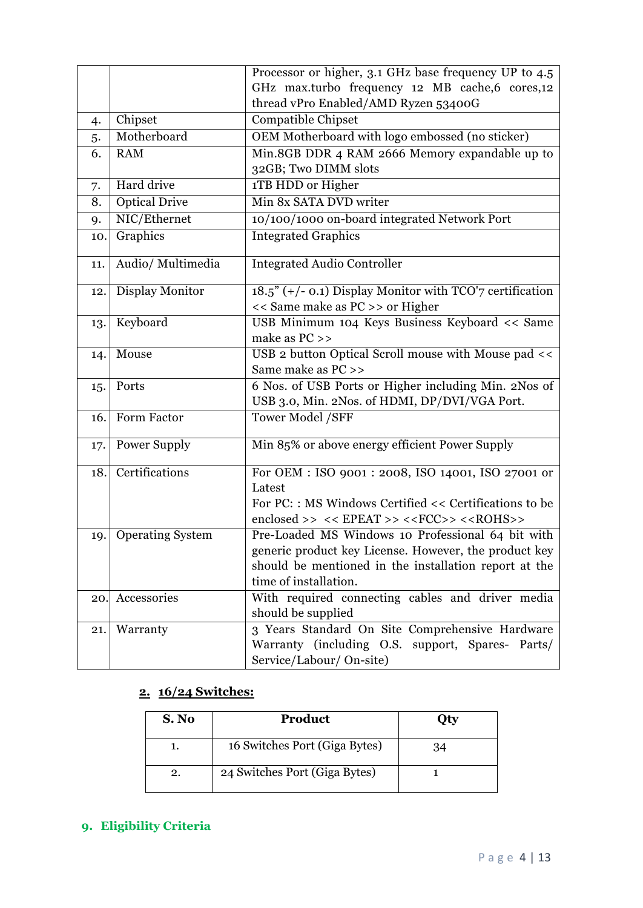|     |                         | Processor or higher, 3.1 GHz base frequency UP to 4.5                                          |
|-----|-------------------------|------------------------------------------------------------------------------------------------|
|     |                         | GHz max.turbo frequency 12 MB cache,6 cores,12                                                 |
|     |                         | thread vPro Enabled/AMD Ryzen 53400G                                                           |
| 4.  | Chipset                 | <b>Compatible Chipset</b>                                                                      |
| 5.  | Motherboard             | OEM Motherboard with logo embossed (no sticker)                                                |
| 6.  | <b>RAM</b>              | Min.8GB DDR 4 RAM 2666 Memory expandable up to                                                 |
|     |                         | 32GB; Two DIMM slots                                                                           |
| 7.  | Hard drive              | 1TB HDD or Higher                                                                              |
| 8.  | <b>Optical Drive</b>    | Min 8x SATA DVD writer                                                                         |
| 9.  | NIC/Ethernet            | 10/100/1000 on-board integrated Network Port                                                   |
| 10. | Graphics                | <b>Integrated Graphics</b>                                                                     |
| 11. | Audio/ Multimedia       | <b>Integrated Audio Controller</b>                                                             |
| 12. | Display Monitor         | $18.5$ " (+/- 0.1) Display Monitor with TCO'7 certification<br><< Same make as PC >> or Higher |
| 13. | Keyboard                | USB Minimum 104 Keys Business Keyboard << Same                                                 |
|     |                         | make as PC >>                                                                                  |
| 14. | Mouse                   | USB 2 button Optical Scroll mouse with Mouse pad <<                                            |
|     |                         | Same make as PC >>                                                                             |
| 15. | Ports                   | 6 Nos. of USB Ports or Higher including Min. 2Nos of                                           |
|     |                         | USB 3.0, Min. 2Nos. of HDMI, DP/DVI/VGA Port.                                                  |
| 16. | Form Factor             | Tower Model /SFF                                                                               |
| 17. | Power Supply            | Min 85% or above energy efficient Power Supply                                                 |
| 18. | Certifications          | For OEM : ISO 9001 : 2008, ISO 14001, ISO 27001 or                                             |
|     |                         | Latest                                                                                         |
|     |                         | For PC:: MS Windows Certified << Certifications to be                                          |
|     |                         | enclosed >> $\prec$ < EPEAT >> $\prec$ <fcc>&gt; <math>\prec</math><rohs>&gt;</rohs></fcc>     |
| 19. | <b>Operating System</b> | Pre-Loaded MS Windows 10 Professional 64 bit with                                              |
|     |                         | generic product key License. However, the product key                                          |
|     |                         | should be mentioned in the installation report at the                                          |
|     |                         | time of installation.                                                                          |
| 20. | Accessories             | With required connecting cables and driver media                                               |
|     |                         | should be supplied                                                                             |
| 21. | Warranty                | 3 Years Standard On Site Comprehensive Hardware                                                |
|     |                         | Warranty (including O.S. support, Spares- Parts/<br>Service/Labour/ On-site)                   |
|     |                         |                                                                                                |

# **2. 16/24 Switches:**

| S. No | <b>Product</b>                |    |
|-------|-------------------------------|----|
| ı.    | 16 Switches Port (Giga Bytes) | 34 |
| 2.    | 24 Switches Port (Giga Bytes) |    |

# **9. Eligibility Criteria**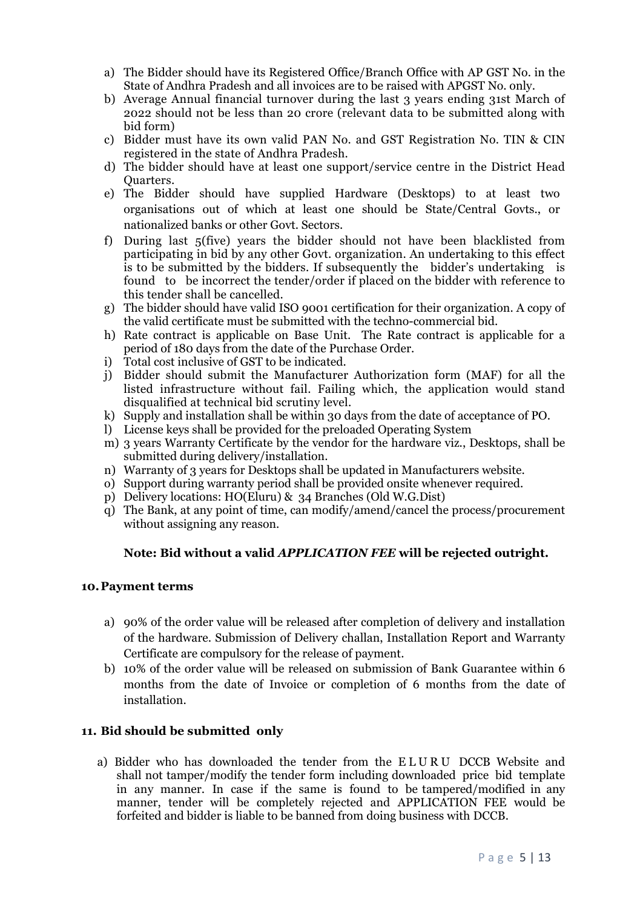- a) The Bidder should have its Registered Office/Branch Office with AP GST No. in the State of Andhra Pradesh and all invoices are to be raised with APGST No. only.
- b) Average Annual financial turnover during the last 3 years ending 31st March of 2022 should not be less than 20 crore (relevant data to be submitted along with bid form)
- c) Bidder must have its own valid PAN No. and GST Registration No. TIN & CIN registered in the state of Andhra Pradesh.
- d) The bidder should have at least one support/service centre in the District Head Quarters.
- e) The Bidder should have supplied Hardware (Desktops) to at least two organisations out of which at least one should be State/Central Govts., or nationalized banks or other Govt. Sectors.
- f) During last 5(five) years the bidder should not have been blacklisted from participating in bid by any other Govt. organization. An undertaking to this effect is to be submitted by the bidders. If subsequently the bidder's undertaking is found to be incorrect the tender/order if placed on the bidder with reference to this tender shall be cancelled.
- g) The bidder should have valid ISO 9001 certification for their organization. A copy of the valid certificate must be submitted with the techno-commercial bid.
- h) Rate contract is applicable on Base Unit. The Rate contract is applicable for a period of 180 days from the date of the Purchase Order.
- i) Total cost inclusive of GST to be indicated.
- j) Bidder should submit the Manufacturer Authorization form (MAF) for all the listed infrastructure without fail. Failing which, the application would stand disqualified at technical bid scrutiny level.
- k) Supply and installation shall be within 30 days from the date of acceptance of PO.
- l) License keys shall be provided for the preloaded Operating System
- m) 3 years Warranty Certificate by the vendor for the hardware viz., Desktops, shall be submitted during delivery/installation.
- n) Warranty of 3 years for Desktops shall be updated in Manufacturers website.
- o) Support during warranty period shall be provided onsite whenever required.
- p) Delivery locations: HO(Eluru) & 34 Branches (Old W.G.Dist)
- q) The Bank, at any point of time, can modify/amend/cancel the process/procurement without assigning any reason.

#### **Note: Bid without a valid** *APPLICATION FEE* **will be rejected outright.**

#### **10.Payment terms**

- a) 90% of the order value will be released after completion of delivery and installation of the hardware. Submission of Delivery challan, Installation Report and Warranty Certificate are compulsory for the release of payment.
- b) 10% of the order value will be released on submission of Bank Guarantee within 6 months from the date of Invoice or completion of 6 months from the date of installation.

#### **11. Bid should be submitted only**

a) Bidder who has downloaded the tender from the ELURU DCCB Website and shall not tamper/modify the tender form including downloaded price bid template in any manner. In case if the same is found to be tampered/modified in any manner, tender will be completely rejected and APPLICATION FEE would be forfeited and bidder is liable to be banned from doing business with DCCB.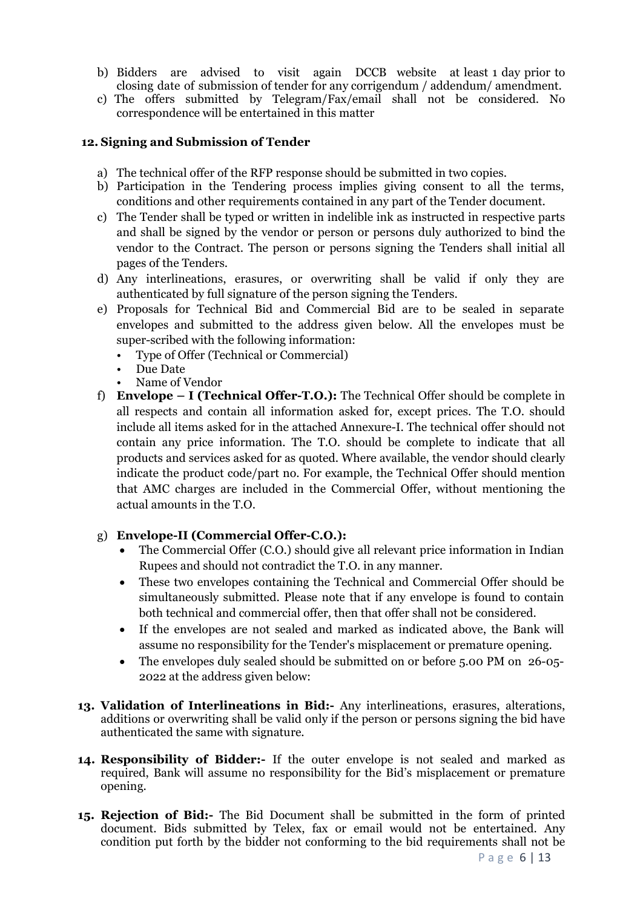- b) Bidders are advised to visit again DCCB website at least 1 day prior to closing date of submission of tender for any corrigendum / addendum/ amendment.
- c) The offers submitted by Telegram/Fax/email shall not be considered. No correspondence will be entertained in this matter

#### **12. Signing and Submission of Tender**

- a) The technical offer of the RFP response should be submitted in two copies.
- b) Participation in the Tendering process implies giving consent to all the terms, conditions and other requirements contained in any part of the Tender document.
- c) The Tender shall be typed or written in indelible ink as instructed in respective parts and shall be signed by the vendor or person or persons duly authorized to bind the vendor to the Contract. The person or persons signing the Tenders shall initial all pages of the Tenders.
- d) Any interlineations, erasures, or overwriting shall be valid if only they are authenticated by full signature of the person signing the Tenders.
- e) Proposals for Technical Bid and Commercial Bid are to be sealed in separate envelopes and submitted to the address given below. All the envelopes must be super-scribed with the following information:
	- Type of Offer (Technical or Commercial) Due Date Name of Vendor
	-
	-
- f) **Envelope I (Technical Offer-T.O.):** The Technical Offer should be complete in all respects and contain all information asked for, except prices. The T.O. should include all items asked for in the attached Annexure-I. The technical offer should not contain any price information. The T.O. should be complete to indicate that all products and services asked for as quoted. Where available, the vendor should clearly indicate the product code/part no. For example, the Technical Offer should mention that AMC charges are included in the Commercial Offer, without mentioning the actual amounts in the T.O.

#### g) **Envelope-II (Commercial Offer-C.O.):**

- The Commercial Offer (C.O.) should give all relevant price information in Indian Rupees and should not contradict the T.O. in any manner.
- These two envelopes containing the Technical and Commercial Offer should be simultaneously submitted. Please note that if any envelope is found to contain both technical and commercial offer, then that offer shall not be considered.
- If the envelopes are not sealed and marked as indicated above, the Bank will assume no responsibility for the Tender's misplacement or premature opening.
- The envelopes duly sealed should be submitted on or before 5.00 PM on 26-05- 2022 at the address given below:
- **13. Validation of Interlineations in Bid:-** Any interlineations, erasures, alterations, additions or overwriting shall be valid only if the person or persons signing the bid have authenticated the same with signature.
- **14. Responsibility of Bidder:-** If the outer envelope is not sealed and marked as required, Bank will assume no responsibility for the Bid's misplacement or premature opening.
- **15. Rejection of Bid:-** The Bid Document shall be submitted in the form of printed document. Bids submitted by Telex, fax or email would not be entertained. Any condition put forth by the bidder not conforming to the bid requirements shall not be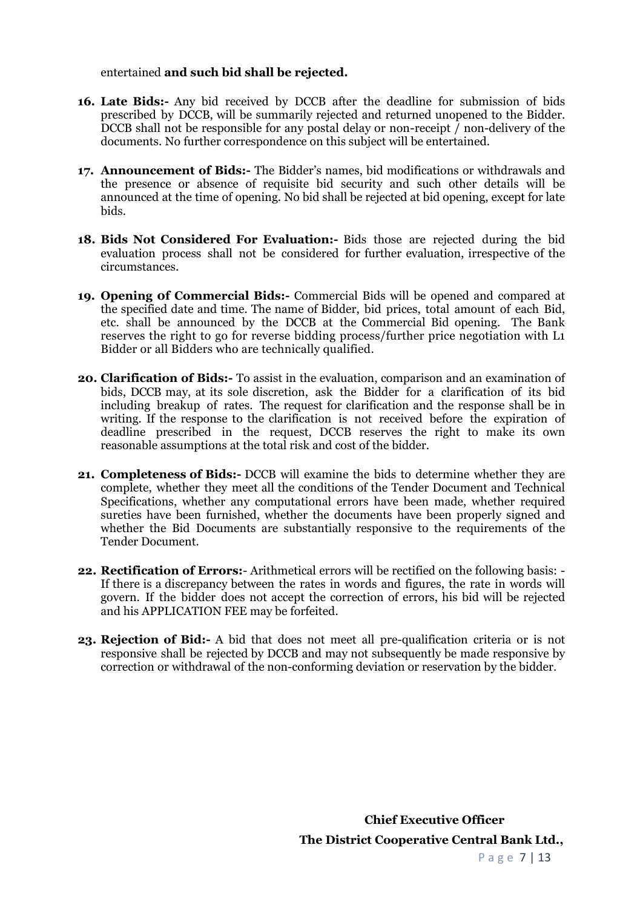entertained **and such bid shall be rejected.**

- **16. Late Bids:-** Any bid received by DCCB after the deadline for submission of bids prescribed by DCCB, will be summarily rejected and returned unopened to the Bidder. DCCB shall not be responsible for any postal delay or non-receipt  $\bar{I}$  non-delivery of the documents. No further correspondence on this subject will be entertained.
- **17. Announcement of Bids:-** The Bidder's names, bid modifications or withdrawals and the presence or absence of requisite bid security and such other details will be announced at the time of opening. No bid shall be rejected at bid opening, except for late bids.
- **18. Bids Not Considered For Evaluation:-** Bids those are rejected during the bid evaluation process shall not be considered for further evaluation, irrespective of the circumstances.
- **19. Opening 0f Commercial Bids:-** Commercial Bids will be opened and compared at the specified date and time. The name of Bidder, bid prices, total amount of each Bid, etc. shall be announced by the DCCB at the Commercial Bid opening. The Bank reserves the right to go for reverse bidding process/further price negotiation with L1 Bidder or all Bidders who are technically qualified.
- **20. Clarification of Bids:-** To assist in the evaluation, comparison and an examination of bids, DCCB may, at its sole discretion, ask the Bidder for a clarification of its bid including breakup of rates. The request for clarification and the response shall be in writing. If the response to the clarification is not received before the expiration of deadline prescribed in the request, DCCB reserves the right to make its own reasonable assumptions at the total risk and cost of the bidder.
- **21. Completeness of Bids:-** DCCB will examine the bids to determine whether they are complete, whether they meet all the conditions of the Tender Document and Technical Specifications, whether any computational errors have been made, whether required sureties have been furnished, whether the documents have been properly signed and whether the Bid Documents are substantially responsive to the requirements of the Tender Document.
- **22. Rectification of Errors:** Arithmetical errors will be rectified on the following basis: If there is a discrepancy between the rates in words and figures, the rate in words will govern. If the bidder does not accept the correction of errors, his bid will be rejected and his APPLICATION FEE may be forfeited.
- **23. Rejection of Bid:-** A bid that does not meet all pre-qualification criteria or is not responsive shall be rejected by DCCB and may notsubsequently be made responsive by correction or withdrawal of the non-conforming deviation or reservation by the bidder.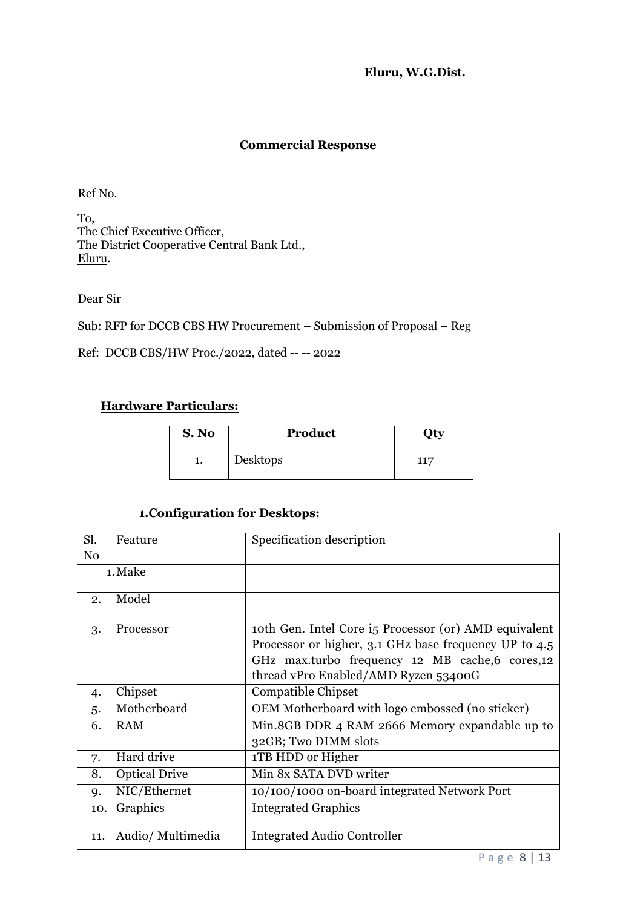**Eluru, W.G.Dist.**

# **Commercial Response**

Ref No.

To, The Chief Executive Officer, The District Cooperative Central Bank Ltd., Eluru.

Dear Sir

Sub: RFP for DCCB CBS HW Procurement – Submission of Proposal – Reg

Ref: DCCB CBS/HW Proc./2022, dated -- -- 2022

#### **Hardware Particulars:**

| S. No | Product  | <b>Oty</b> |
|-------|----------|------------|
| ı.    | Desktops | 117        |

# **1. Configuration for Desktops:**

| Sl.            | Feature              | Specification description                             |
|----------------|----------------------|-------------------------------------------------------|
| N <sub>0</sub> |                      |                                                       |
|                | <b>1.</b> Make       |                                                       |
|                |                      |                                                       |
| 2.             | Model                |                                                       |
| 3.             | Processor            | toth Gen. Intel Core is Processor (or) AMD equivalent |
|                |                      | Processor or higher, 3.1 GHz base frequency UP to 4.5 |
|                |                      | GHz max.turbo frequency 12 MB cache, 6 cores, 12      |
|                |                      | thread vPro Enabled/AMD Ryzen 53400G                  |
| 4.             | Chipset              | <b>Compatible Chipset</b>                             |
| 5.             | Motherboard          | OEM Motherboard with logo embossed (no sticker)       |
| 6.             | <b>RAM</b>           | Min.8GB DDR 4 RAM 2666 Memory expandable up to        |
|                |                      | 32GB; Two DIMM slots                                  |
| 7.             | Hard drive           | 1TB HDD or Higher                                     |
| 8.             | <b>Optical Drive</b> | Min 8x SATA DVD writer                                |
| 9.             | NIC/Ethernet         | 10/100/1000 on-board integrated Network Port          |
| 10.            | Graphics             | <b>Integrated Graphics</b>                            |
| 11.            | Audio/Multimedia     | <b>Integrated Audio Controller</b>                    |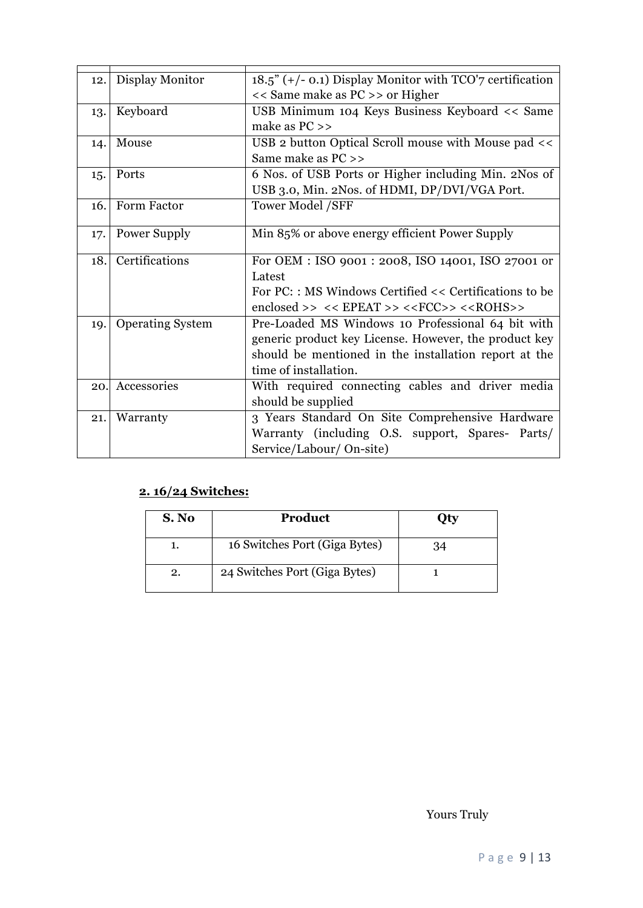| 12. | Display Monitor         | $18.5$ " (+/- 0.1) Display Monitor with TCO'7 certification                                |
|-----|-------------------------|--------------------------------------------------------------------------------------------|
|     |                         | << Same make as PC >> or Higher                                                            |
| 13. | Keyboard                | USB Minimum 104 Keys Business Keyboard << Same                                             |
|     |                         | make as $PC \gg$                                                                           |
| 14. | Mouse                   | USB 2 button Optical Scroll mouse with Mouse pad <<                                        |
|     |                         | Same make as PC >>                                                                         |
| 15. | Ports                   | 6 Nos. of USB Ports or Higher including Min. 2Nos of                                       |
|     |                         | USB 3.0, Min. 2Nos. of HDMI, DP/DVI/VGA Port.                                              |
| 16. | Form Factor             | <b>Tower Model /SFF</b>                                                                    |
|     |                         |                                                                                            |
| 17. | Power Supply            | Min 85% or above energy efficient Power Supply                                             |
| 18. | Certifications          | For OEM : ISO 9001 : 2008, ISO 14001, ISO 27001 or                                         |
|     |                         | Latest                                                                                     |
|     |                         | For PC:: MS Windows Certified << Certifications to be                                      |
|     |                         | enclosed >> $\prec$ < EPEAT >> $\prec$ <fcc>&gt; <math>\prec</math><rohs>&gt;</rohs></fcc> |
| 19. | <b>Operating System</b> | Pre-Loaded MS Windows 10 Professional 64 bit with                                          |
|     |                         | generic product key License. However, the product key                                      |
|     |                         |                                                                                            |
|     |                         | should be mentioned in the installation report at the                                      |
|     |                         | time of installation.                                                                      |
| 20. | Accessories             | With required connecting cables and driver media                                           |
|     |                         | should be supplied                                                                         |
| 21. | Warranty                | 3 Years Standard On Site Comprehensive Hardware                                            |
|     |                         | Warranty (including O.S. support, Spares- Parts/                                           |
|     |                         | Service/Labour/ On-site)                                                                   |

# **2. 16/24 Switches:**

| S. No | Product                       | Эtу |
|-------|-------------------------------|-----|
|       | 16 Switches Port (Giga Bytes) | 34  |
| 2.    | 24 Switches Port (Giga Bytes) |     |

Yours Truly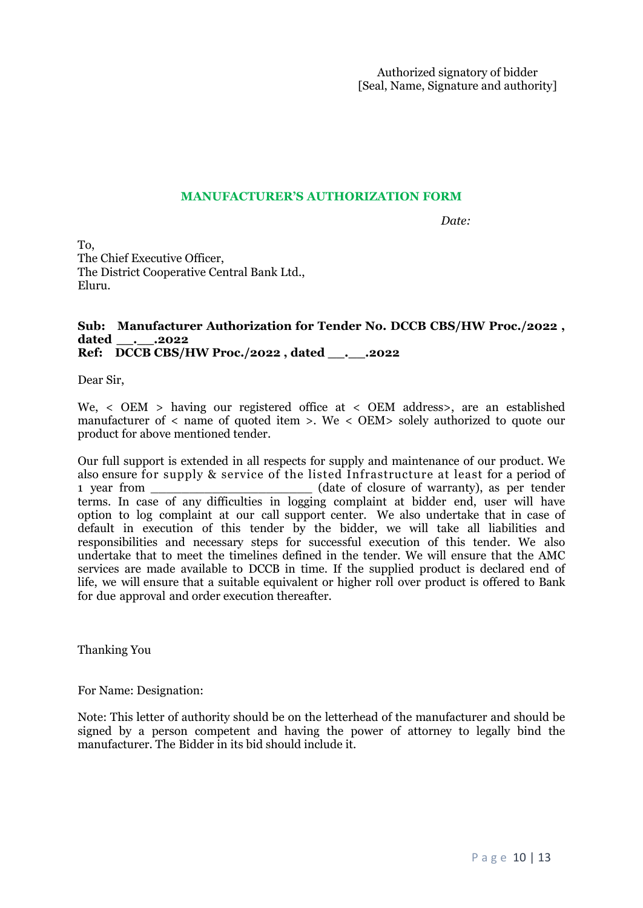#### **MANUFACTURER'S AUTHORIZATION FORM**

*Date:* 

To, The Chief Executive Officer, The District Cooperative Central Bank Ltd., Eluru.

# Sub: Manufacturer Authorization for Tender No. DCCB CBS/HW Proc./2022, dated . . .2022 **Ref: DCCB CBS/HW Proc./2022 , dated \_\_.\_\_.2022**

Dear Sir,

We, < OEM > having our registered office at < OEM address>, are an established manufacturer of < name of quoted item >. We < OEM> solely authorized to quote our product for above mentioned tender.

Our full support is extended in all respects for supply and maintenance of our product. We also ensure for supply & service of the listed Infrastructure at least for a period of 1 year from \_\_\_\_\_\_\_\_\_\_\_\_\_\_\_\_\_\_\_\_\_ (date of closure of warranty), as per tender terms. In case of any difficulties in logging complaint at bidder end, user will have option to log complaint at our call support center. We also undertake that in case of default in execution of this tender by the bidder, we will take all liabilities and responsibilities and necessary steps for successful execution of this tender. We also undertake that to meet the timelines defined in the tender. We will ensure that the AMC services are made available to DCCB in time. If the supplied product is declared end of life, we will ensure that a suitable equivalent or higher roll over product is offered to Bank for due approval and order execution thereafter.

Thanking You

For Name: Designation:

Note: This letter of authority should be on the letterhead of the manufacturer and should be signed by a person competent and having the power of attorney to legally bind the manufacturer. The Bidder in its bid should include it.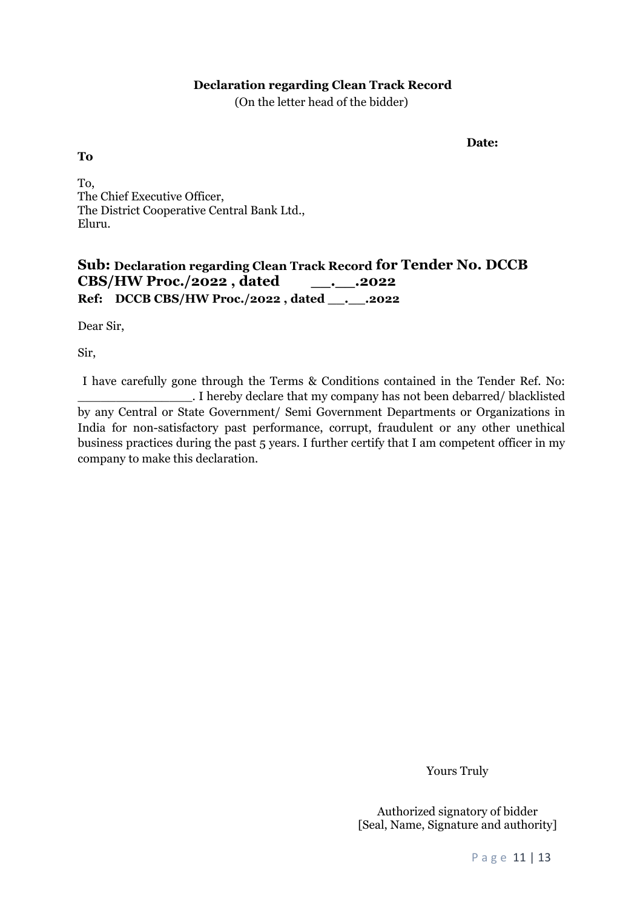#### **Declaration regarding Clean Track Record**

(On the letter head of the bidder)

**Date:**

**To**

To, The Chief Executive Officer, The District Cooperative Central Bank Ltd., Eluru.

# **Sub: Declaration regarding Clean Track Record for Tender No. DCCB CBS/HW Proc./2022 , dated \_\_.\_\_.2022 Ref: DCCB CBS/HW Proc./2022 , dated \_\_.\_\_.2022**

Dear Sir,

Sir,

I have carefully gone through the Terms & Conditions contained in the Tender Ref. No:<br>I hereby declare that my company has not been debarred/ blacklisted by any Central or State Government/ Semi Government Departments or Organizations in India for non-satisfactory past performance, corrupt, fraudulent or any other unethical business practices during the past 5 years. I further certify that I am competent officer in my company to make this declaration.

Yours Truly

Authorized signatory of bidder [Seal, Name, Signature and authority]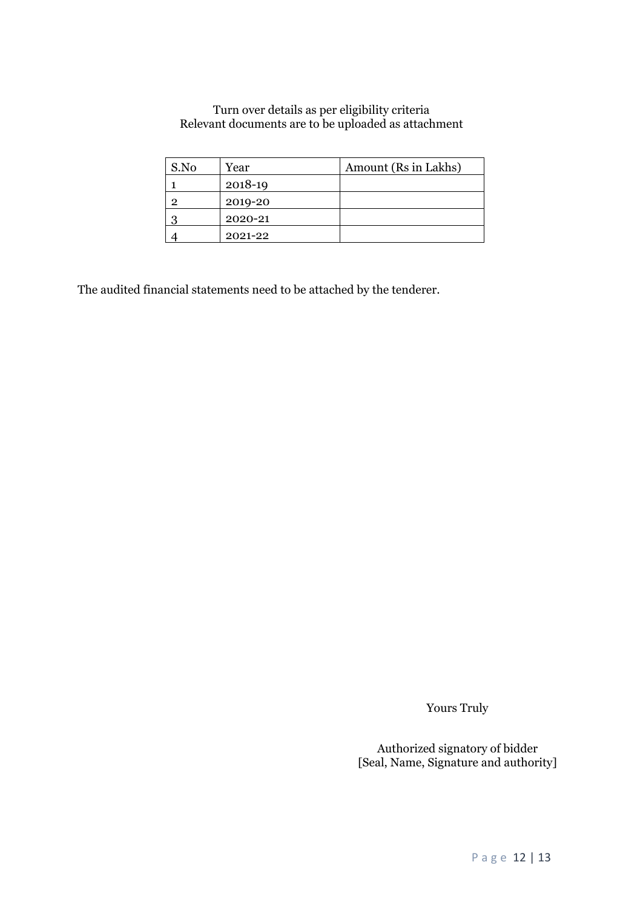#### Turn over details as per eligibility criteria Relevant documents are to be uploaded as attachment

| S.No | Year    | Amount (Rs in Lakhs) |
|------|---------|----------------------|
|      | 2018-19 |                      |
| ົ    | 2019-20 |                      |
|      | 2020-21 |                      |
|      | 2021-22 |                      |

The audited financial statements need to be attached by the tenderer.

Yours Truly

Authorized signatory of bidder [Seal, Name, Signature and authority]